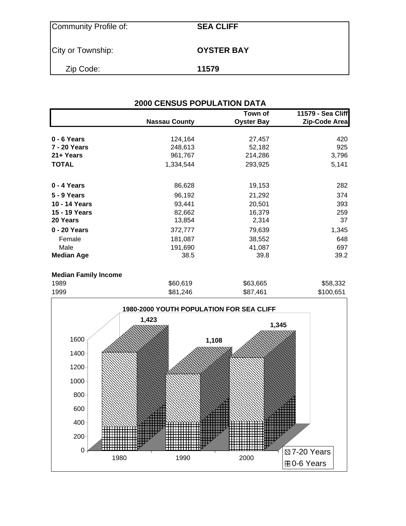| Community Profile of: | <b>SEA CLIFF</b>  |
|-----------------------|-------------------|
| City or Township:     | <b>OYSTER BAY</b> |
| Zip Code:             | 11579             |

| <b>2000 CENSUS POPULATION DATA</b> |                      |                              |                                    |  |  |  |  |
|------------------------------------|----------------------|------------------------------|------------------------------------|--|--|--|--|
|                                    | <b>Nassau County</b> | Town of<br><b>Oyster Bay</b> | 11579 - Sea Cliff<br>Zip-Code Area |  |  |  |  |
| 0 - 6 Years                        | 124,164              | 27,457                       | 420                                |  |  |  |  |
| 7 - 20 Years                       | 248,613              | 52,182                       | 925                                |  |  |  |  |
| 21+ Years                          | 961,767              | 214,286                      | 3,796                              |  |  |  |  |
| <b>TOTAL</b>                       | 1,334,544            | 293,925                      | 5,141                              |  |  |  |  |
| $0 - 4$ Years                      | 86,628               | 19,153                       | 282                                |  |  |  |  |
| 5 - 9 Years                        | 96,192               | 21,292                       | 374                                |  |  |  |  |
| 10 - 14 Years                      | 93,441               | 20,501                       | 393                                |  |  |  |  |
| 15 - 19 Years                      | 82,662               | 16,379                       | 259                                |  |  |  |  |
| 20 Years                           | 13,854               | 2,314                        | 37                                 |  |  |  |  |
| 0 - 20 Years                       | 372,777              | 79,639                       | 1,345                              |  |  |  |  |
| Female                             | 181,087              | 38,552                       | 648                                |  |  |  |  |
| Male                               | 191,690              | 41,087                       | 697                                |  |  |  |  |
| <b>Median Age</b>                  | 38.5                 | 39.8                         | 39.2                               |  |  |  |  |
|                                    |                      |                              |                                    |  |  |  |  |

| <b>Median Family Income</b> |          |          |           |
|-----------------------------|----------|----------|-----------|
| 1989                        | \$60,619 | \$63,665 | \$58.332  |
| 1999                        | \$81,246 | \$87.461 | \$100,651 |

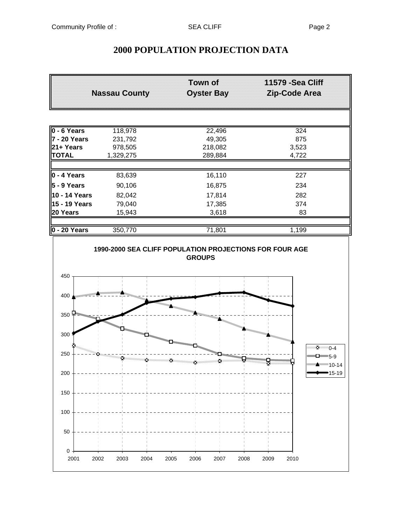# **2000 POPULATION PROJECTION DATA**

|                                    | <b>Nassau County</b> | Town of<br><b>Oyster Bay</b>             | 11579 - Sea Cliff<br><b>Zip-Code Area</b>        |
|------------------------------------|----------------------|------------------------------------------|--------------------------------------------------|
|                                    |                      |                                          |                                                  |
| 0 - 6 Years                        | 118,978              | 22,496                                   | 324                                              |
| 7 - 20 Years                       | 231,792              | 49,305                                   | 875                                              |
| 21+ Years                          | 978,505              | 218,082                                  | 3,523                                            |
| <b>TOTAL</b>                       | 1,329,275            | 289,884                                  | 4,722                                            |
| $ 0 - 4$ Years                     | 83,639               | 16,110                                   | 227                                              |
| $5 - 9$ Years                      | 90,106               | 16,875                                   | 234                                              |
| 10 - 14 Years                      | 82,042               | 17,814                                   | 282                                              |
| 15 - 19 Years                      | 79,040               | 17,385                                   | 374                                              |
| 20 Years                           | 15,943               | 3,618                                    | 83                                               |
|                                    |                      |                                          |                                                  |
| 0 - 20 Years                       | 350,770              | 71,801                                   | 1,199                                            |
| 450                                |                      |                                          |                                                  |
| <b>GALACTER DESCRIPTION</b><br>400 |                      |                                          |                                                  |
| 350                                |                      | No. of Concession, Name of Son, or other |                                                  |
| 300                                |                      | For the Concession of the Concession     | Namangan y<br><b>Allinguar</b>                   |
| 250                                |                      |                                          | $2^{6}$ 0-4<br>$\Box$ 5-9                        |
| 200                                |                      |                                          | --------- <del>-----------</del> 10-14<br>■15-19 |
| 150                                |                      |                                          |                                                  |
| 100                                |                      |                                          |                                                  |
| 50                                 |                      |                                          |                                                  |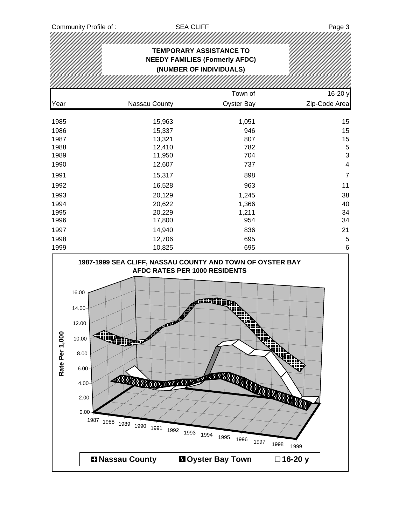| <b>TEMPORARY ASSISTANCE TO</b><br><b>NEEDY FAMILIES (Formerly AFDC)</b><br>(NUMBER OF INDIVIDUALS) |               |                   |                 |  |  |  |  |  |
|----------------------------------------------------------------------------------------------------|---------------|-------------------|-----------------|--|--|--|--|--|
|                                                                                                    |               | Town of           | 16-20 y         |  |  |  |  |  |
| Year                                                                                               | Nassau County | <b>Oyster Bay</b> | Zip-Code Area   |  |  |  |  |  |
| 1985                                                                                               | 15,963        | 1,051             | 15              |  |  |  |  |  |
| 1986                                                                                               | 15,337        | 946               | 15              |  |  |  |  |  |
| 1987                                                                                               | 13,321        | 807               | 15              |  |  |  |  |  |
| 1988                                                                                               | 12,410        | 782               | 5               |  |  |  |  |  |
| 1989                                                                                               | 11,950        | 704               | 3               |  |  |  |  |  |
| 1990                                                                                               | 12,607        | 737               | $\overline{4}$  |  |  |  |  |  |
| 1991                                                                                               | 15,317        | 898               | $\overline{7}$  |  |  |  |  |  |
| 1992                                                                                               | 16,528        | 963               | 11              |  |  |  |  |  |
| 1993                                                                                               | 20,129        | 1,245             | 38              |  |  |  |  |  |
| 1994                                                                                               | 20,622        | 1,366             | 40              |  |  |  |  |  |
| 1995                                                                                               | 20,229        | 1,211             | 34              |  |  |  |  |  |
| 1996                                                                                               | 17,800        | 954               | 34              |  |  |  |  |  |
| 1997                                                                                               | 14,940        | 836               | 21              |  |  |  |  |  |
| 1998                                                                                               | 12,706        | 695               | 5               |  |  |  |  |  |
| 1999                                                                                               | 10,825        | 695               | $6\phantom{1}6$ |  |  |  |  |  |

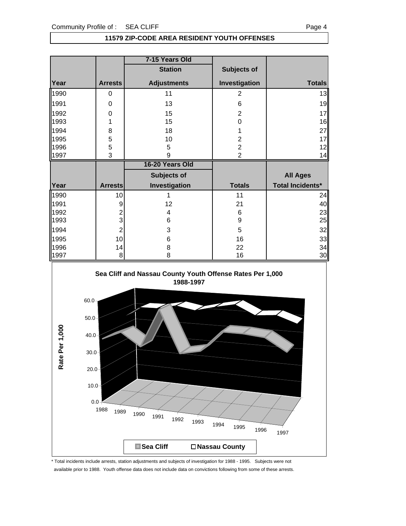$0.0 +$ 

### **11579 ZIP-CODE AREA RESIDENT YOUTH OFFENSES**

|                |          |                  | 7-15 Years Old                                            |                |                         |
|----------------|----------|------------------|-----------------------------------------------------------|----------------|-------------------------|
|                |          |                  | <b>Station</b>                                            | Subjects of    |                         |
| Year           |          | <b>Arrests</b>   | <b>Adjustments</b>                                        | Investigation  | <b>Totals</b>           |
| 1990           |          | $\mathbf 0$      | 11                                                        | $\overline{2}$ | 13                      |
| 1991           |          | $\pmb{0}$        | 13                                                        | 6              | 19                      |
| 1992           |          | $\mathbf 0$      | 15                                                        | $\overline{c}$ | 17                      |
| 1993           |          | 1                | 15                                                        | $\mathsf 0$    | 16                      |
| 1994           |          | 8                | 18                                                        | 1              | 27                      |
| 1995           |          | 5                | 10                                                        | $\overline{c}$ | 17                      |
| 1996           |          | 5                | 5                                                         | $\overline{c}$ | 12                      |
| 1997           |          | 3                | 9                                                         | $\overline{2}$ | 14                      |
|                |          |                  | 16-20 Years Old                                           |                |                         |
|                |          |                  | Subjects of                                               |                | <b>All Ages</b>         |
| Year           |          | <b>Arrests</b>   | Investigation                                             | <b>Totals</b>  | <b>Total Incidents*</b> |
| 1990           |          | 10               | $\mathbf{1}$                                              | 11             | 24                      |
| 1991           |          | $\boldsymbol{9}$ | 12                                                        | 21             | 40                      |
| 1992           |          | $\frac{2}{3}$    | $\overline{\mathbf{4}}$                                   | 6              | 23                      |
| 1993           |          |                  | 6                                                         | 9              | 25                      |
| 1994           |          | $\overline{c}$   | 3                                                         | 5              | 32                      |
| 1995           |          | 10               | 6                                                         | 16             | 33                      |
| 1996<br>1997   |          | 14<br>8          | 8<br>8                                                    | 22<br>16       | 34<br>30                |
|                |          |                  |                                                           |                |                         |
|                |          |                  | Sea Cliff and Nassau County Youth Offense Rates Per 1,000 |                |                         |
|                |          |                  | 1988-1997                                                 |                |                         |
|                |          |                  |                                                           |                |                         |
|                | $60.0 -$ |                  |                                                           |                |                         |
|                |          |                  |                                                           |                |                         |
|                | $50.0 -$ |                  |                                                           |                |                         |
| Rate Per 1,000 | $40.0 -$ |                  |                                                           |                |                         |
|                |          |                  |                                                           |                |                         |
|                | $30.0 -$ |                  |                                                           |                |                         |
|                |          |                  |                                                           |                |                         |
|                | $20.0 -$ |                  |                                                           |                |                         |
|                |          |                  |                                                           |                |                         |
|                | $10.0 -$ |                  |                                                           |                |                         |

\* Total incidents include arrests, station adjustments and subjects of investigation for 1988 - 1995. Subjects were not available prior to 1988. Youth offense data does not include data on convictions following from some of these arrests.

1988 1989 1990 1991 1992 1993 1994 1995 1996 1997

■ Sea Cliff **Nassau County**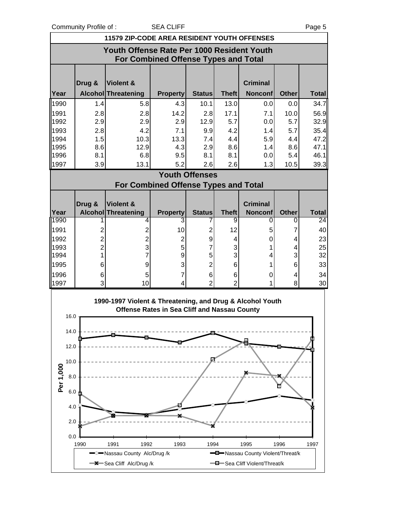Community Profile of : SEA CLIFF **Page 5** 

|              | <b>11579 ZIP-CODE AREA RESIDENT YOUTH OFFENSES</b>                                 |                                                           |                                                     |                       |                   |                                   |                   |                    |  |
|--------------|------------------------------------------------------------------------------------|-----------------------------------------------------------|-----------------------------------------------------|-----------------------|-------------------|-----------------------------------|-------------------|--------------------|--|
|              | Youth Offense Rate Per 1000 Resident Youth<br>For Combined Offense Types and Total |                                                           |                                                     |                       |                   |                                   |                   |                    |  |
|              | Drug &                                                                             | Violent &                                                 |                                                     |                       |                   | <b>Criminal</b>                   |                   |                    |  |
| Year         |                                                                                    | Alcohol Threatening                                       | <b>Property</b>                                     | <b>Status</b>         | <b>Theft</b>      | <b>Nonconf</b>                    | <b>Other</b>      | <b>Total</b>       |  |
| 1990         | 1.4                                                                                | 5.8                                                       | 4.3                                                 | 10.1                  | 13.0              | 0.0                               | 0.0               | 34.7               |  |
| 1991         | 2.8                                                                                | 2.8                                                       | 14.2                                                | 2.8                   | 17.1              | 7.1                               | 10.0              | 56.9               |  |
| 1992         | 2.9                                                                                | 2.9                                                       | 2.9                                                 | 12.9                  | 5.7               | 0.0                               | 5.7               | 32.9               |  |
| 1993         | 2.8                                                                                | 4.2                                                       | 7.1                                                 | 9.9                   | 4.2               | 1.4                               | 5.7               | 35.4               |  |
| 1994         | 1.5                                                                                | 10.3                                                      | 13.3                                                | 7.4                   | 4.4               | 5.9                               | 4.4               | 47.2               |  |
| 1995         | 8.6                                                                                | 12.9                                                      | 4.3                                                 | 2.9                   | 8.6               | 1.4                               | 8.6               | 47.1               |  |
| 1996         | 8.1                                                                                | 6.8                                                       | 9.5                                                 | 8.1                   | 8.1               | 0.0                               | 5.4               | 46.1               |  |
| 1997         | 3.9                                                                                | 13.1                                                      | 5.2                                                 | 2.6                   | 2.6               | 1.3                               | 10.5              | 39.3               |  |
|              |                                                                                    |                                                           |                                                     | <b>Youth Offenses</b> |                   |                                   |                   |                    |  |
|              |                                                                                    | For Combined Offense Types and Total                      |                                                     |                       |                   |                                   |                   |                    |  |
|              |                                                                                    |                                                           |                                                     |                       |                   |                                   |                   |                    |  |
|              | Drug &                                                                             | Violent &                                                 |                                                     |                       |                   | <b>Criminal</b>                   |                   |                    |  |
| Year<br>1990 |                                                                                    | <b>Alcohol Threatening</b><br>4                           | <b>Property</b><br>3                                | <b>Status</b>         | <b>Theft</b><br>9 | <b>Nonconf</b><br>0               | <b>Other</b><br>0 | <b>Total</b><br>24 |  |
| 1991         |                                                                                    |                                                           |                                                     | $\overline{2}$        | 12                |                                   |                   | 40                 |  |
|              | 2                                                                                  | $\overline{c}$                                            | 10                                                  |                       |                   | 5                                 | 7                 |                    |  |
| 1992<br>1993 | $\overline{c}$<br>$\overline{2}$                                                   | $\overline{c}$<br>3                                       | $\overline{2}$<br>5                                 | 9<br>7                | 4<br>3            | 0<br>1                            | 4<br>4            | 23<br>25           |  |
| 1994         | 1                                                                                  | $\overline{7}$                                            | 9                                                   | 5                     | 3                 | 4                                 | 3                 | 32                 |  |
| 1995         | 6                                                                                  | $\boldsymbol{9}$                                          | 3                                                   | $\overline{2}$        | 6                 | 1                                 | 6                 | 33                 |  |
| 1996         | 6                                                                                  | 5                                                         | 7                                                   | 6                     | 6                 | 0                                 | 4                 | 34                 |  |
| 1997         | 3                                                                                  | 10                                                        | 4                                                   | $\overline{2}$        | $\overline{2}$    | 1                                 | 8                 | 30                 |  |
|              |                                                                                    | 1990-1997 Violent & Threatening, and Drug & Alcohol Youth |                                                     |                       |                   |                                   |                   |                    |  |
|              |                                                                                    |                                                           | <b>Offense Rates in Sea Cliff and Nassau County</b> |                       |                   |                                   |                   |                    |  |
| 16.0         |                                                                                    |                                                           |                                                     |                       |                   |                                   |                   |                    |  |
| 14.0         |                                                                                    |                                                           |                                                     |                       |                   |                                   |                   |                    |  |
|              |                                                                                    |                                                           |                                                     |                       |                   |                                   |                   |                    |  |
| 12.0         |                                                                                    |                                                           |                                                     |                       |                   |                                   |                   |                    |  |
| 10.0         |                                                                                    |                                                           |                                                     | ø                     |                   |                                   |                   |                    |  |
| Per 1,000    |                                                                                    |                                                           |                                                     |                       |                   |                                   |                   |                    |  |
| 8.0          |                                                                                    |                                                           |                                                     |                       |                   |                                   |                   |                    |  |
|              |                                                                                    |                                                           |                                                     |                       |                   |                                   |                   |                    |  |
| 6.0          |                                                                                    |                                                           |                                                     |                       |                   |                                   |                   |                    |  |
| 4.0          |                                                                                    |                                                           |                                                     |                       |                   |                                   |                   |                    |  |
|              |                                                                                    |                                                           |                                                     |                       |                   |                                   |                   |                    |  |
| 2.0          |                                                                                    |                                                           |                                                     |                       |                   |                                   |                   |                    |  |
| 0.0          | 1990                                                                               | 1991<br>1992                                              | 1993                                                | 1994                  |                   | 1995                              | 1996              | 1997               |  |
|              |                                                                                    | -Nassau County Alc/Drug /k                                |                                                     |                       |                   | -D-Nassau County Violent/Threat/k |                   |                    |  |
|              |                                                                                    | -X-Sea Cliff Alc/Drug /k                                  |                                                     |                       |                   | -B-Sea Cliff Violent/Threat/k     |                   |                    |  |
|              |                                                                                    |                                                           |                                                     |                       |                   |                                   |                   |                    |  |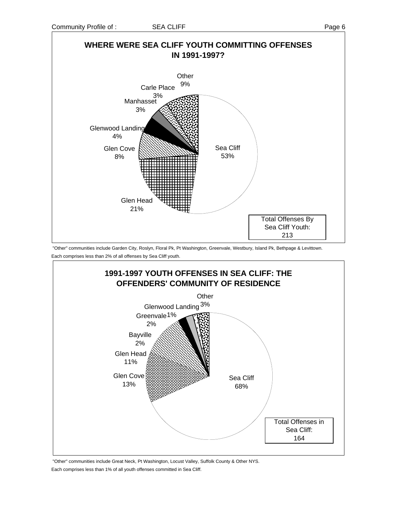

 "Other" communities include Garden City, Roslyn, Floral Pk, Pt Washington, Greenvale, Westbury, Island Pk, Bethpage & Levittown. Each comprises less than 2% of all offenses by Sea Cliff youth.



 "Other" communities include Great Neck, Pt Washington, Locust Valley, Suffolk County & Other NYS. Each comprises less than 1% of all youth offenses committed in Sea Cliff.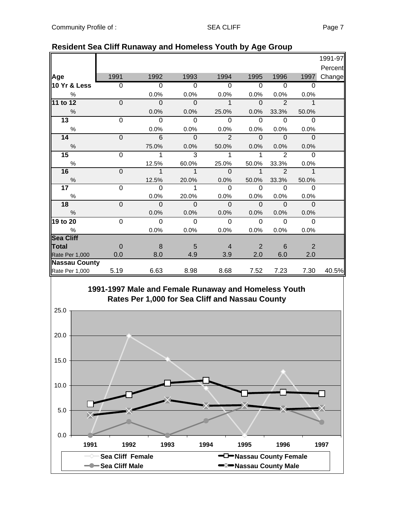|                      |                     |                     |                          |                      |                          |                | 1991-97                                |
|----------------------|---------------------|---------------------|--------------------------|----------------------|--------------------------|----------------|----------------------------------------|
|                      |                     |                     |                          |                      |                          |                | Percent                                |
| 1991                 | 1992                | 1993                | 1994                     | 1995                 | 1996                     | 1997           | Change                                 |
| $\overline{0}$       | $\overline{0}$      | $\overline{0}$      | $\overline{0}$           | $\overline{0}$       | $\Omega$                 | $\Omega$       |                                        |
|                      | 0.0%                | 0.0%                | 0.0%                     | 0.0%                 | 0.0%                     | 0.0%           |                                        |
| $\mathbf{0}$         | $\mathbf 0$         | $\mathbf{O}$        | $\mathbf{1}$             | $\mathbf 0$          | $\overline{\phantom{0}}$ | $\overline{1}$ |                                        |
|                      | 0.0%                | 0.0%                | 25.0%                    | 0.0%                 | 33.3%                    | 50.0%          |                                        |
| $\Omega$             | $\Omega$            | $\Omega$            | $\Omega$                 | $\Omega$             | $\Omega$                 | $\Omega$       |                                        |
|                      | 0.0%                | 0.0%                | 0.0%                     | 0.0%                 | 0.0%                     | 0.0%           |                                        |
| $\mathbf 0$          | 6                   | $\mathbf 0$         | $\overline{2}$           | $\mathbf{0}$         | $\overline{\phantom{0}}$ | $\overline{0}$ |                                        |
|                      | 75.0%               | 0.0%                | 50.0%                    | 0.0%                 | 0.0%                     | 0.0%           |                                        |
| $\Omega$             | 1                   | 3                   | 1                        | 1                    | $\overline{2}$           | $\Omega$       |                                        |
|                      | 12.5%               | 60.0%               | 25.0%                    | 50.0%                | 33.3%                    | 0.0%           |                                        |
| $\mathbf{0}$         | $\mathbf{1}$        | $\overline{1}$      | $\mathbf{0}$             | $\mathbf 1$          | $\overline{2}$           | $\overline{1}$ |                                        |
|                      | 12.5%               | 20.0%               | 0.0%                     | 50.0%                | 33.3%                    | 50.0%          |                                        |
| 0                    | $\Omega$            | 1                   | $\Omega$                 | $\Omega$             | $\Omega$                 | $\overline{0}$ |                                        |
|                      | 0.0%                | 20.0%               | 0.0%                     | 0.0%                 | 0.0%                     | 0.0%           |                                        |
|                      |                     |                     |                          | $\mathbf 0$          | $\Omega$                 |                |                                        |
|                      | 0.0%                | 0.0%                | 0.0%                     | 0.0%                 | 0.0%                     | 0.0%           |                                        |
| $\Omega$             | $\mathbf 0$         | $\Omega$            | $\overline{0}$           | $\Omega$             | $\Omega$                 | $\Omega$       |                                        |
|                      | 0.0%                | 0.0%                | 0.0%                     | 0.0%                 | 0.0%                     | 0.0%           |                                        |
|                      |                     |                     |                          |                      |                          |                |                                        |
| $\Omega$             | 8                   |                     | $\overline{4}$           | 2                    | 6                        |                |                                        |
| 0.0                  | 8.0                 | 4.9                 | 3.9                      | 2.0                  | 6.0                      | 2.0            |                                        |
| <b>Nassau County</b> |                     |                     |                          |                      |                          |                |                                        |
|                      |                     |                     |                          |                      |                          |                | 40.5%                                  |
|                      | $\mathbf 0$<br>5.19 | $\mathbf 0$<br>6.63 | $\mathbf 0$<br>5<br>8.98 | $\mathbf{0}$<br>8.68 | 7.52                     | 7.23           | $\mathbf{0}$<br>$\overline{2}$<br>7.30 |

## **Resident Sea Cliff Runaway and Homeless Youth by Age Group**

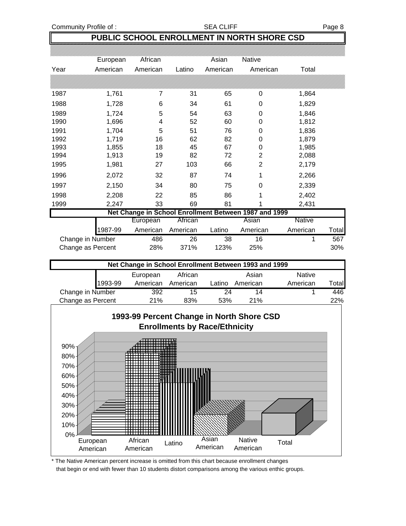# **PUBLIC SCHOOL ENROLLMENT IN NORTH SHORE CSD**

|                     | European | African  |          | Asian    | Native                                                |               |       |
|---------------------|----------|----------|----------|----------|-------------------------------------------------------|---------------|-------|
| Year                | American | American | Latino   | American | American                                              | Total         |       |
|                     |          |          |          |          |                                                       |               |       |
|                     |          |          |          |          |                                                       |               |       |
| 1987                | 1,761    | 7        | 31       | 65       | 0                                                     | 1,864         |       |
| 1988                | 1,728    | 6        | 34       | 61       | 0                                                     | 1,829         |       |
| 1989                | 1,724    | 5        | 54       | 63       | 0                                                     | 1,846         |       |
| 1990                | 1,696    | 4        | 52       | 60       | 0                                                     | 1,812         |       |
| 1991                | 1,704    | 5        | 51       | 76       | 0                                                     | 1,836         |       |
| 1992                | 1,719    | 16       | 62       | 82       | 0                                                     | 1,879         |       |
| 1993                | 1,855    | 18       | 45       | 67       | 0                                                     | 1,985         |       |
| 1994                | 1,913    | 19       | 82       | 72       | $\overline{2}$                                        | 2,088         |       |
| 1995                | 1,981    | 27       | 103      | 66       | $\overline{2}$                                        | 2,179         |       |
| 1996                | 2,072    | 32       | 87       | 74       | 1                                                     | 2,266         |       |
| 1997                | 2,150    | 34       | 80       | 75       | 0                                                     | 2,339         |       |
| 1998                | 2,208    | 22       | 85       | 86       |                                                       | 2,402         |       |
| 1999                | 2,247    | 33       | 69       | 81       |                                                       | 2,431         |       |
|                     |          |          |          |          | Net Change in School Enrollment Between 1987 and 1999 |               |       |
|                     |          | European | African  |          | Asian                                                 | <b>Native</b> |       |
|                     | 1987-99  | American | American | Latino   | American                                              | American      | Total |
| Change in Number    |          | 486      | 26       | 38       | 16                                                    | 1             | 567   |
| Change as Percent   |          | 28%      | 371%     | 123%     | 25%                                                   |               | 30%   |
|                     |          |          |          |          |                                                       |               |       |
|                     |          |          |          |          | Net Change in School Enrollment Between 1993 and 1999 |               |       |
|                     |          | European | African  |          | Asian                                                 | <b>Native</b> |       |
|                     | 1993-99  | American | American | Latino   | American                                              | American      | Total |
| Change in Number    |          | 392      | 15       | 24       | 14                                                    |               | 446   |
| $Channa$ on Deroomt |          | 240/     | 0.201    | 500/     | <b>OA 0/</b>                                          |               | ∕ ∩רי |



<sup>\*</sup> The Native American percent increase is omitted from this chart because enrollment changes that begin or end with fewer than 10 students distort comparisons among the various enthic groups.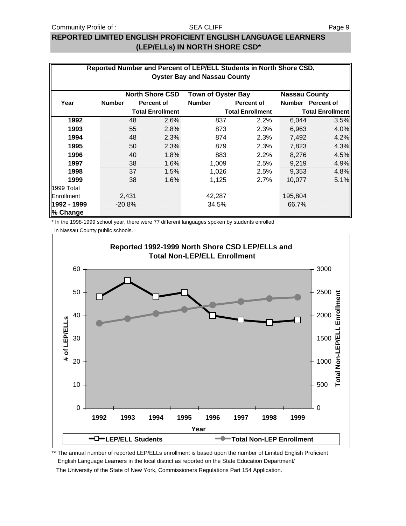#### Community Profile of : SEA CLIFF SEA CONTRACT COMMUNITY Profile of :

#### SEA CLIFF

# **REPORTED LIMITED ENGLISH PROFICIENT ENGLISH LANGUAGE LEARNERS (LEP/ELLs) IN NORTH SHORE CSD\***

| Reported Number and Percent of LEP/ELL Students in North Shore CSD,<br><b>Oyster Bay and Nassau County</b> |                                                                             |    |                         |               |                         |               |                         |  |  |
|------------------------------------------------------------------------------------------------------------|-----------------------------------------------------------------------------|----|-------------------------|---------------|-------------------------|---------------|-------------------------|--|--|
|                                                                                                            | <b>North Shore CSD</b><br><b>Town of Oyster Bay</b><br><b>Nassau County</b> |    |                         |               |                         |               |                         |  |  |
| Year                                                                                                       | <b>Number</b>                                                               |    | Percent of              | <b>Number</b> | Percent of              | <b>Number</b> | <b>Percent of</b>       |  |  |
|                                                                                                            |                                                                             |    | <b>Total Enrollment</b> |               | <b>Total Enrollment</b> |               | <b>Total Enrollment</b> |  |  |
| 1992                                                                                                       |                                                                             | 48 | 2.6%                    | 837           | 2.2%                    | 6,044         | 3.5%                    |  |  |
| 1993                                                                                                       |                                                                             | 55 | 2.8%                    | 873           | 2.3%                    | 6,963         | 4.0%                    |  |  |
| 1994                                                                                                       |                                                                             | 48 | 2.3%                    | 874           | 2.3%                    | 7,492         | 4.2%                    |  |  |
| 1995                                                                                                       |                                                                             | 50 | 2.3%                    | 879           | 2.3%                    | 7,823         | 4.3%                    |  |  |
| 1996                                                                                                       |                                                                             | 40 | 1.8%                    | 883           | 2.2%                    | 8,276         | 4.5%                    |  |  |
| 1997                                                                                                       |                                                                             | 38 | 1.6%                    | 1,009         | 2.5%                    | 9,219         | 4.9%                    |  |  |
| 1998                                                                                                       |                                                                             | 37 | 1.5%                    | 1,026         | 2.5%                    | 9,353         | 4.8%                    |  |  |
| 1999                                                                                                       |                                                                             | 38 | 1.6%                    | 1,125         | $2.7\%$                 | 10,077        | 5.1%                    |  |  |
| 1999 Total                                                                                                 |                                                                             |    |                         |               |                         |               |                         |  |  |
| Enrollment                                                                                                 | 2,431                                                                       |    |                         | 42,287        |                         | 195,804       |                         |  |  |
| 1992 - 1999<br>% Change                                                                                    | $-20.8%$                                                                    |    |                         | 34.5%         |                         | 66.7%         |                         |  |  |

\* In the 1998-1999 school year, there were 77 different languages spoken by students enrolled

in Nassau County public schools.



\*\* The annual number of reported LEP/ELLs enrollment is based upon the number of Limited English Proficient English Language Learners in the local district as reported on the State Education Department/ The University of the State of New York, Commissioners Regulations Part 154 Application.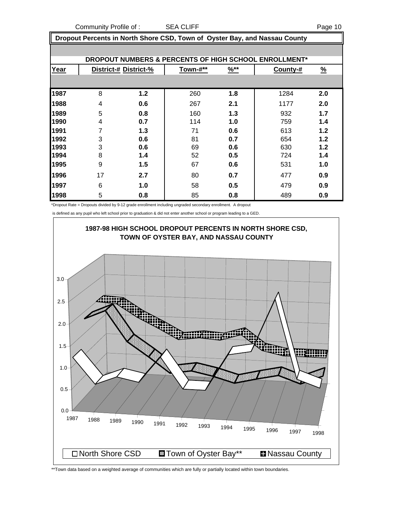Community Profile of : SEA CLIFF **Page 10** 

 **Dropout Percents in North Shore CSD, Town of Oyster Bay, and Nassau County**

|      |    |                       |          |                  | DROPOUT NUMBERS & PERCENTS OF HIGH SCHOOL ENROLLMENT* |               |
|------|----|-----------------------|----------|------------------|-------------------------------------------------------|---------------|
| Year |    | District-# District-% | Town-#** | $\frac{96**}{8}$ | County-#                                              | $\frac{9}{6}$ |
|      |    |                       |          |                  |                                                       |               |
| 1987 | 8  | $1.2$                 | 260      | 1.8              | 1284                                                  | 2.0           |
| 1988 | 4  | 0.6                   | 267      | 2.1              | 1177                                                  | 2.0           |
| 1989 | 5  | 0.8                   | 160      | 1.3              | 932                                                   | 1.7           |
| 1990 | 4  | 0.7                   | 114      | 1.0              | 759                                                   | 1.4           |
| 1991 | 7  | 1.3                   | 71       | 0.6              | 613                                                   | 1.2           |
| 1992 | 3  | 0.6                   | 81       | 0.7              | 654                                                   | 1.2           |
| 1993 | 3  | 0.6                   | 69       | 0.6              | 630                                                   | 1.2           |
| 1994 | 8  | 1.4                   | 52       | 0.5              | 724                                                   | 1.4           |
| 1995 | 9  | 1.5                   | 67       | 0.6              | 531                                                   | 1.0           |
| 1996 | 17 | 2.7                   | 80       | 0.7              | 477                                                   | 0.9           |
| 1997 | 6  | 1.0                   | 58       | 0.5              | 479                                                   | 0.9           |
| 1998 | 5  | 0.8                   | 85       | 0.8              | 489                                                   | 0.9           |

\*Dropout Rate = Dropouts divided by 9-12 grade enrollment including ungraded secondary enrollment. A dropout

is defined as any pupil who left school prior to graduation & did not enter another school or program leading to a GED.



\*\*Town data based on a weighted average of communities which are fully or partially located within town boundaries.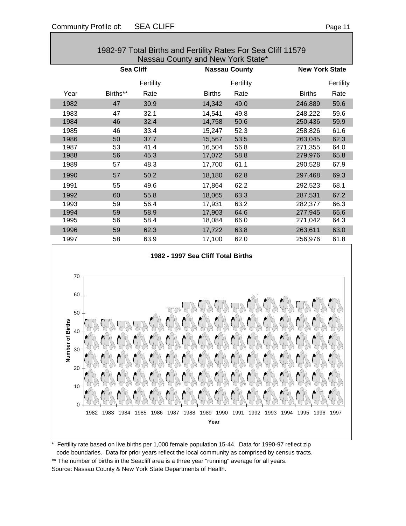| 1982-97 Total Births and Fertility Rates For Sea Cliff 11579<br>Nassau County and New York State* |          |                  |               |                      |                       |           |  |
|---------------------------------------------------------------------------------------------------|----------|------------------|---------------|----------------------|-----------------------|-----------|--|
|                                                                                                   |          | <b>Sea Cliff</b> |               | <b>Nassau County</b> | <b>New York State</b> |           |  |
|                                                                                                   |          | Fertility        |               | Fertility            |                       | Fertility |  |
| Year                                                                                              | Births** | Rate             | <b>Births</b> | Rate                 | <b>Births</b>         | Rate      |  |
| 1982                                                                                              | 47       | 30.9             | 14,342        | 49.0                 | 246,889               | 59.6      |  |
| 1983                                                                                              | 47       | 32.1             | 14,541        | 49.8                 | 248,222               | 59.6      |  |
| 1984                                                                                              | 46       | 32.4             | 14,758        | 50.6                 | 250,436               | 59.9      |  |
| 1985                                                                                              | 46       | 33.4             | 15,247        | 52.3                 | 258,826               | 61.6      |  |
| 1986                                                                                              | 50       | 37.7             | 15,567        | 53.5                 | 263,045               | 62.3      |  |
| 1987                                                                                              | 53       | 41.4             | 16,504        | 56.8                 | 271,355               | 64.0      |  |
| 1988                                                                                              | 56       | 45.3             | 17,072        | 58.8                 | 279,976               | 65.8      |  |
| 1989                                                                                              | 57       | 48.3             | 17,700        | 61.1                 | 290,528               | 67.9      |  |
| 1990                                                                                              | 57       | 50.2             | 18,180        | 62.8                 | 297,468               | 69.3      |  |
| 1991                                                                                              | 55       | 49.6             | 17,864        | 62.2                 | 292,523               | 68.1      |  |
| 1992                                                                                              | 60       | 55.8             | 18,065        | 63.3                 | 287,531               | 67.2      |  |
| 1993                                                                                              | 59       | 56.4             | 17,931        | 63.2                 | 282,377               | 66.3      |  |
| 1994                                                                                              | 59       | 58.9             | 17,903        | 64.6                 | 277,945               | 65.6      |  |
| 1995                                                                                              | 56       | 58.4             | 18,084        | 66.0                 | 271,042               | 64.3      |  |
| 1996                                                                                              | 59       | 62.3             | 17,722        | 63.8                 | 263,611               | 63.0      |  |
| 1997                                                                                              | 58       | 63.9             | 17,100        | 62.0                 | 256,976               | 61.8      |  |





\* Fertility rate based on live births per 1,000 female population 15-44. Data for 1990-97 reflect zip code boundaries. Data for prior years reflect the local community as comprised by census tracts. \*\* The number of births in the Seacliff area is a three year "running" average for all years. Source: Nassau County & New York State Departments of Health.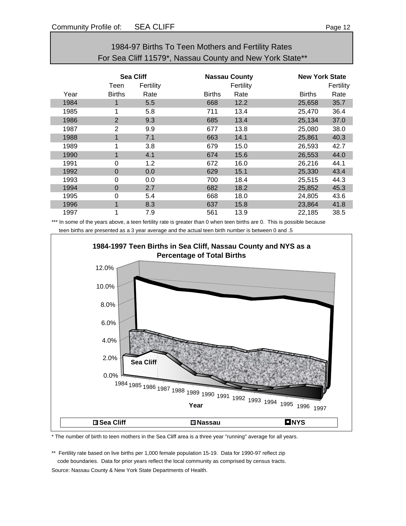|                                                          | 1904-97 DIILIIS TO TEEN MOLITEIS AND FEITHIN RATES |                  |           |               |                      |               |                       |  |
|----------------------------------------------------------|----------------------------------------------------|------------------|-----------|---------------|----------------------|---------------|-----------------------|--|
| For Sea Cliff 11579*, Nassau County and New York State** |                                                    |                  |           |               |                      |               |                       |  |
|                                                          |                                                    |                  |           |               |                      |               |                       |  |
|                                                          |                                                    | <b>Sea Cliff</b> |           |               | <b>Nassau County</b> |               | <b>New York State</b> |  |
|                                                          |                                                    | Teen             | Fertility |               | Fertility            |               | Fertility             |  |
|                                                          | Year                                               | <b>Births</b>    | Rate      | <b>Births</b> | Rate                 | <b>Births</b> | Rate                  |  |
|                                                          | 1984                                               | 1                | 5.5       | 668           | 12.2                 | 25,658        | 35.7                  |  |
|                                                          | 1985                                               | 1                | 5.8       | 711           | 13.4                 | 25,470        | 36.4                  |  |
|                                                          | 1986                                               | $\overline{2}$   | 9.3       | 685           | 13.4                 | 25,134        | 37.0                  |  |
|                                                          | 1987                                               | 2                | 9.9       | 677           | 13.8                 | 25,080        | 38.0                  |  |
|                                                          | 1988                                               | 1                | 7.1       | 663           | 14.1                 | 25,861        | 40.3                  |  |
|                                                          | 1989                                               | 1                | 3.8       | 679           | 15.0                 | 26,593        | 42.7                  |  |
|                                                          | 1990                                               | $\mathbf 1$      | 4.1       | 674           | 15.6                 | 26,553        | 44.0                  |  |
|                                                          | 1991                                               | 0                | 1.2       | 672           | 16.0                 | 26,216        | 44.1                  |  |
|                                                          | 1992                                               | $\overline{0}$   | 0.0       | 629           | 15.1                 | 25,330        | 43.4                  |  |
|                                                          | 1993                                               | 0                | 0.0       | 700           | 18.4                 | 25,515        | 44.3                  |  |
|                                                          | 1994                                               | $\mathbf 0$      | 2.7       | 682           | 18.2                 | 25,852        | 45.3                  |  |
|                                                          | 1995                                               | 0                | 5.4       | 668           | 18.0                 | 24,805        | 43.6                  |  |
|                                                          | 1996                                               | 1                | 8.3       | 637           | 15.8                 | 23,864        | 41.8                  |  |

# 1984-97 Births To Teen Mothers and Fertility Rates

\*\*\* In some of the years above, a teen fertility rate is greater than 0 when teen births are 0. This is possible because teen births are presented as a 3 year average and the actual teen birth number is between 0 and .5

1997 1 7.9 561 13.9 22,185 38.5



\* The number of birth to teen mothers in the Sea Cliff area is a three year "running" average for all years.

\*\* Fertility rate based on live births per 1,000 female population 15-19. Data for 1990-97 reflect zip code boundaries. Data for prior years reflect the local community as comprised by census tracts. Source: Nassau County & New York State Departments of Health.